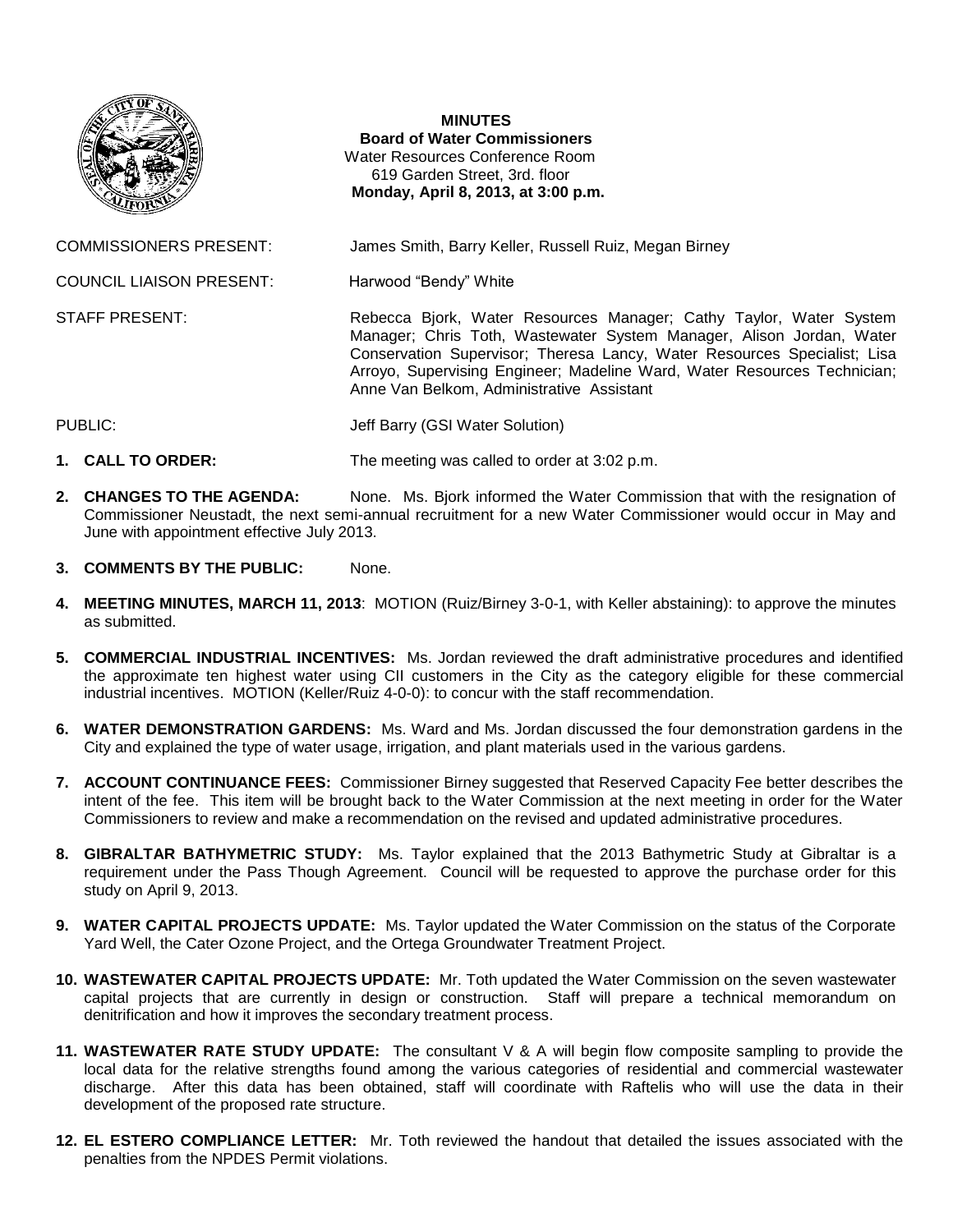

## **MINUTES Board of Water Commissioners** Water Resources Conference Room 619 Garden Street, 3rd. floor **Monday, April 8, 2013, at 3:00 p.m.**

COMMISSIONERS PRESENT: James Smith, Barry Keller, Russell Ruiz, Megan Birney

COUNCIL LIAISON PRESENT: Harwood "Bendy" White

STAFF PRESENT: **Rebecca Bjork, Water Resources Manager**; Cathy Taylor, Water System Manager; Chris Toth, Wastewater System Manager, Alison Jordan, Water Conservation Supervisor; Theresa Lancy, Water Resources Specialist; Lisa Arroyo, Supervising Engineer; Madeline Ward, Water Resources Technician; Anne Van Belkom, Administrative Assistant

PUBLIC: Jeff Barry (GSI Water Solution)

- **1. CALL TO ORDER:** The meeting was called to order at 3:02 p.m.
- **2. CHANGES TO THE AGENDA:** None. Ms. Bjork informed the Water Commission that with the resignation of Commissioner Neustadt, the next semi-annual recruitment for a new Water Commissioner would occur in May and June with appointment effective July 2013.
- **3. COMMENTS BY THE PUBLIC:** None.
- **4. MEETING MINUTES, MARCH 11, 2013**: MOTION (Ruiz/Birney 3-0-1, with Keller abstaining): to approve the minutes as submitted.
- **5. COMMERCIAL INDUSTRIAL INCENTIVES:** Ms. Jordan reviewed the draft administrative procedures and identified the approximate ten highest water using CII customers in the City as the category eligible for these commercial industrial incentives. MOTION (Keller/Ruiz 4-0-0): to concur with the staff recommendation.
- **6. WATER DEMONSTRATION GARDENS:** Ms. Ward and Ms. Jordan discussed the four demonstration gardens in the City and explained the type of water usage, irrigation, and plant materials used in the various gardens.
- **7. ACCOUNT CONTINUANCE FEES:** Commissioner Birney suggested that Reserved Capacity Fee better describes the intent of the fee. This item will be brought back to the Water Commission at the next meeting in order for the Water Commissioners to review and make a recommendation on the revised and updated administrative procedures.
- **8. GIBRALTAR BATHYMETRIC STUDY:** Ms. Taylor explained that the 2013 Bathymetric Study at Gibraltar is a requirement under the Pass Though Agreement. Council will be requested to approve the purchase order for this study on April 9, 2013.
- **9. WATER CAPITAL PROJECTS UPDATE:** Ms. Taylor updated the Water Commission on the status of the Corporate Yard Well, the Cater Ozone Project, and the Ortega Groundwater Treatment Project.
- **10. WASTEWATER CAPITAL PROJECTS UPDATE:** Mr. Toth updated the Water Commission on the seven wastewater capital projects that are currently in design or construction. Staff will prepare a technical memorandum on denitrification and how it improves the secondary treatment process.
- **11. WASTEWATER RATE STUDY UPDATE:** The consultant V & A will begin flow composite sampling to provide the local data for the relative strengths found among the various categories of residential and commercial wastewater discharge. After this data has been obtained, staff will coordinate with Raftelis who will use the data in their development of the proposed rate structure.
- **12. EL ESTERO COMPLIANCE LETTER:** Mr. Toth reviewed the handout that detailed the issues associated with the penalties from the NPDES Permit violations.